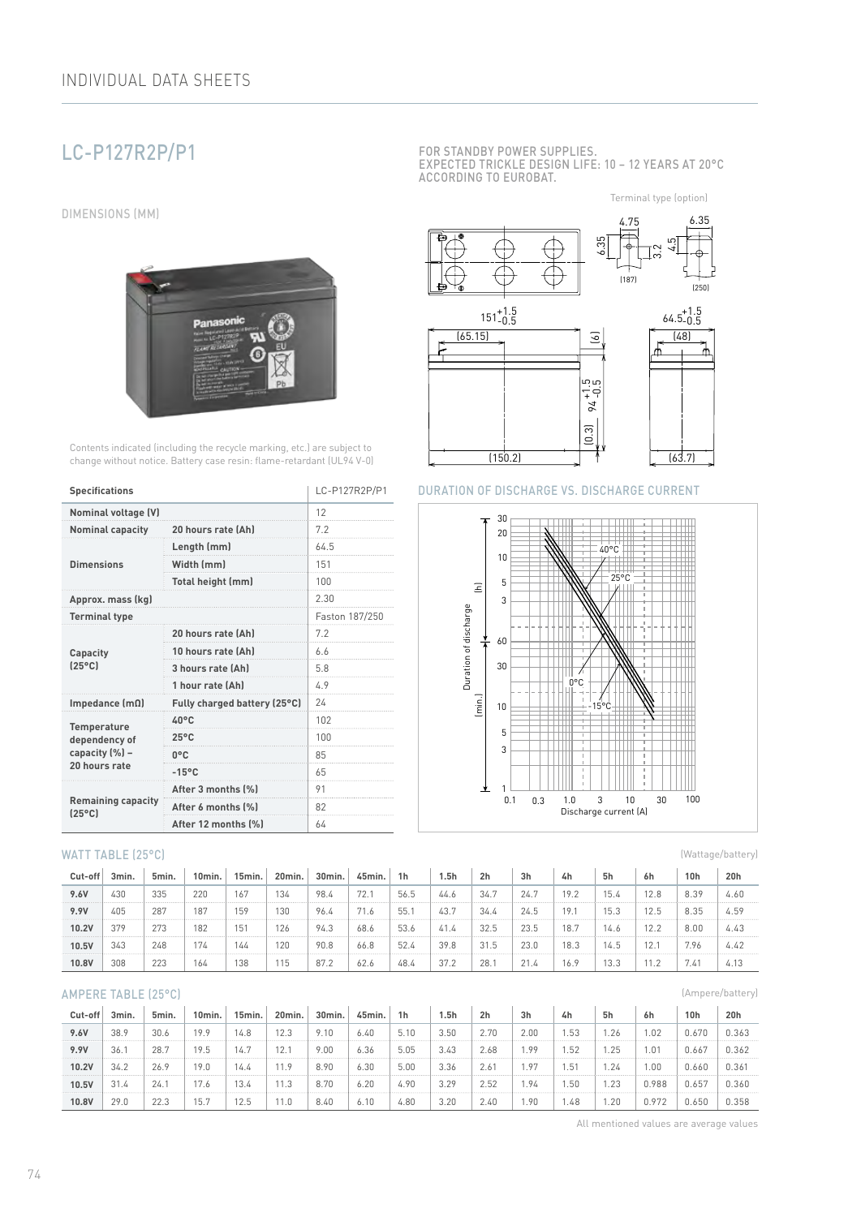# LC-P127R2P/P1

DIMENSIONS (MM)



Contents indicated (including the recycle marking, etc.) are subject to change without notice. Battery case resin: flame-retardant (UL94 V-0)

| <b>Specifications</b>                        | LC-P127R2P/P1                |                |  |  |
|----------------------------------------------|------------------------------|----------------|--|--|
| <b>Nominal voltage (V)</b>                   | 12                           |                |  |  |
| <b>Nominal capacity</b>                      | 20 hours rate (Ah)           | 7.2            |  |  |
|                                              | Length (mm)                  | 64.5           |  |  |
| <b>Dimensions</b>                            | Width (mm)                   | 151            |  |  |
|                                              | Total height (mm)            | 100            |  |  |
| Approx. mass (kg)                            | 2.30                         |                |  |  |
| <b>Terminal type</b>                         |                              | Faston 187/250 |  |  |
|                                              | 20 hours rate (Ah)           | 7.2            |  |  |
| Capacity                                     | 10 hours rate (Ah)           | 6.6            |  |  |
| $(25^{\circ}C)$                              | 3 hours rate (Ah)            | 5.8            |  |  |
|                                              | 1 hour rate (Ah)             | 4.9            |  |  |
| Impedance $(m\Omega)$                        | Fully charged battery (25°C) | 24             |  |  |
| Temperature                                  | $40^{\circ}$ C               | 102            |  |  |
| dependency of                                | $25^{\circ}$ C               | 100            |  |  |
| capacity (%) -                               | $0^{\circ}$ C                | 85             |  |  |
| 20 hours rate                                | $-15^{\circ}$ C              | 65             |  |  |
|                                              | After 3 months (%)           | 91             |  |  |
| <b>Remaining capacity</b><br>$[25^{\circ}$ C | After 6 months (%)           | 82             |  |  |
|                                              | After 12 months [%]          | 64             |  |  |

#### WATT TABLE (25°C)

| Cut-off | 3min. | 5min. | 10min. | 15min. | 20min. | 30min. | 45min. | 1h   | 1.5h | 2 <sub>h</sub> | 3h   | 4h   | 5h    | 6h   | 10h  | 20h  |
|---------|-------|-------|--------|--------|--------|--------|--------|------|------|----------------|------|------|-------|------|------|------|
| 9.6V    | 430   | 335   | 220    | 167    | 134    | 98.4   | 72.    | 56.5 | 44.6 | 34.7           | 24.7 | 19.2 | 15.4  | 12.8 | 8.39 | 4.60 |
| 9.9V    | 405   | 287   | 187    | 159    | 130    | 96.4   | 71.6   | 55.  | 43.7 | 34.4           | 24.5 | 19.7 | 1 に つ | 12.5 | 8.35 | 4.59 |
| 10.2V   | 379   | 273   | 182    | 151    | 126    | 94.3   | 68.6   | 53.6 | 41.4 | 32.5           | 23.5 | 18.7 | 14.6  | 12.2 | 8.00 | 4.43 |
| 10.5V   | 343   | 248   |        | 144    | 120    | 90.8   | 66.8   | 52.4 | 39.8 | 31.5           | 23.0 | 18.3 | 14.5  | 12.1 | 7.96 | 4.42 |
| 10.8V   | 308   | 223   | 164    | 138    | 115    | 87.2   | 62.6   | 48.4 | 37.2 | 28.            | 21.4 | 16.9 | 13.3  |      | 7.41 | 4.13 |

#### AMPERE TABLE (25°C)

| Cut-off | 3min. | 5min. | 10min. | 15min. | 20min. | 30min. | 45min. | 1 <sub>h</sub> | 5h   | 2 <sub>h</sub> | 3 <sub>h</sub> | 4h     | 5h  | 6h    | 10 <sub>h</sub> | 20h   |
|---------|-------|-------|--------|--------|--------|--------|--------|----------------|------|----------------|----------------|--------|-----|-------|-----------------|-------|
| 9.6V    | 38.9  | 30.6  | 19.9   | 14.8   | 12.3   | 9.10   | 6.40   | 5.10           | 3.50 | 2.70           | 2.00           | .53    | .26 | . 02  | 0.670           | 0.363 |
| 9.9V    | 36.1  | 28.7  | 19.5   | 14.7   | 12.    | 9.00   | 6.36   | 5.05           | 3.43 | 2.68           | . 99           | .52    | .25 | .01   | 0.667           | 0.362 |
| 10.2V   | 34.2  | 26.9  | 19.0   | 4.4    | 11.9   | 8.90   | 6.30   | 5.00           | 3.36 | 2.61           | . 97           | . . 51 | .24 | .00   | 0.660           | 0.361 |
| 10.5V   | 31.4  | 24.1  |        | 13.4   | 11.3   | 8.70   | 6.20   | 4.90           | 3.29 | 2.52           | . 94           | . 50   | .23 | 0.988 | 0.657           | 0.360 |
| 10.8V   | 29.0  | 22.3  | 15.    | 12.5   | 1.0    | 8.40   | 6.10   | 4.80           | 3.20 | 2.40           | . . 90         | .48    | .20 | 0.972 | 0.650           | 0.358 |

FOR STANDBY POWER SUPPLIES. EXPECTED TRICKLE DESIGN LIFE: 10 – 12 YEARS AT 20°C ACCORDING TO EUROBAT.

Terminal type (option)



#### DURATION OF DISCHARGE VS. DISCHARGE CURRENT



(Wattage/battery)

(Ampere/battery)

All mentioned values are average values